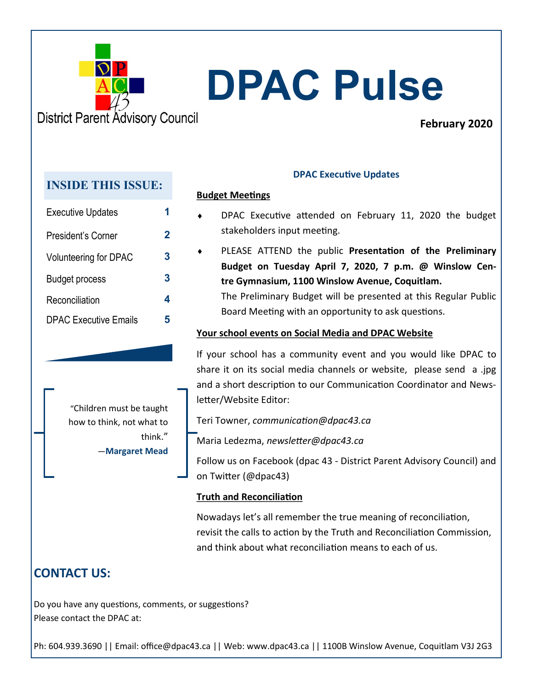

# **DPAC Pulse**

## **February 2020**

## **INSIDE THIS ISSUE:**

| <b>Executive Updates</b>     |   |
|------------------------------|---|
| President's Corner           | 2 |
| <b>Volunteering for DPAC</b> | 3 |
| <b>Budget process</b>        | 3 |
| Reconciliation               | 4 |
| <b>DPAC Executive Emails</b> |   |

"Children must be taught how to think, not what to think." ―**Margaret Mead** 

## **DPAC Executive Updates**

#### **Budget Meetings**

- DPAC Executive attended on February 11, 2020 the budget stakeholders input meeting.
- PLEASE ATTEND the public **Presentation of the Preliminary Budget on Tuesday April 7, 2020, 7 p.m. @ Winslow Centre Gymnasium, 1100 Winslow Avenue, Coquitlam.**  The Preliminary Budget will be presented at this Regular Public Board Meeting with an opportunity to ask questions.

### **Your school events on Social Media and DPAC Website**

If your school has a community event and you would like DPAC to share it on its social media channels or website, please send a .jpg and a short description to our Communication Coordinator and Newsletter/Website Editor:

Teri Towner, *communication@dpac43.ca* 

Maria Ledezma, *newsletter@dpac43.ca*

Follow us on Facebook (dpac 43 - District Parent Advisory Council) and on Twitter (@dpac43)

### **Truth and Reconciliation**

Nowadays let's all remember the true meaning of reconciliation, revisit the calls to action by the Truth and Reconciliation Commission, and think about what reconciliation means to each of us.

# **CONTACT US:**

Do you have any questions, comments, or suggestions? Please contact the DPAC at:

Ph: 604.939.3690 || Email: office@dpac43.ca || Web: www.dpac43.ca || 1100B Winslow Avenue, Coquitlam V3J 2G3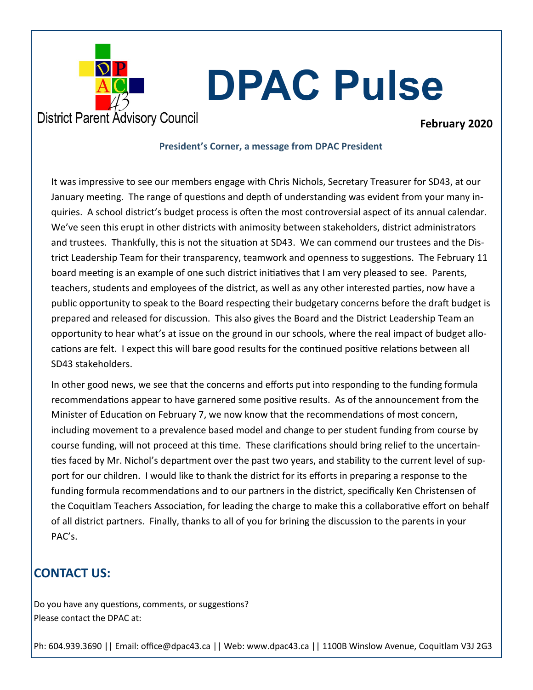

# **DPAC Pulse**

### **February 2020**

#### **President's Corner, a message from DPAC President**

It was impressive to see our members engage with Chris Nichols, Secretary Treasurer for SD43, at our January meeting. The range of questions and depth of understanding was evident from your many inquiries. A school district's budget process is often the most controversial aspect of its annual calendar. We've seen this erupt in other districts with animosity between stakeholders, district administrators and trustees. Thankfully, this is not the situation at SD43. We can commend our trustees and the District Leadership Team for their transparency, teamwork and openness to suggestions. The February 11 board meeting is an example of one such district initiatives that I am very pleased to see. Parents, teachers, students and employees of the district, as well as any other interested parties, now have a public opportunity to speak to the Board respecting their budgetary concerns before the draft budget is prepared and released for discussion. This also gives the Board and the District Leadership Team an opportunity to hear what's at issue on the ground in our schools, where the real impact of budget allocations are felt. I expect this will bare good results for the continued positive relations between all SD43 stakeholders.

In other good news, we see that the concerns and efforts put into responding to the funding formula recommendations appear to have garnered some positive results. As of the announcement from the Minister of Education on February 7, we now know that the recommendations of most concern, including movement to a prevalence based model and change to per student funding from course by course funding, will not proceed at this time. These clarifications should bring relief to the uncertainties faced by Mr. Nichol's department over the past two years, and stability to the current level of support for our children. I would like to thank the district for its efforts in preparing a response to the funding formula recommendations and to our partners in the district, specifically Ken Christensen of the Coquitlam Teachers Association, for leading the charge to make this a collaborative effort on behalf of all district partners. Finally, thanks to all of you for brining the discussion to the parents in your PAC's.

## **CONTACT US:**

Do you have any questions, comments, or suggestions? Please contact the DPAC at:

Ph: 604.939.3690 || Email: office@dpac43.ca || Web: www.dpac43.ca || 1100B Winslow Avenue, Coquitlam V3J 2G3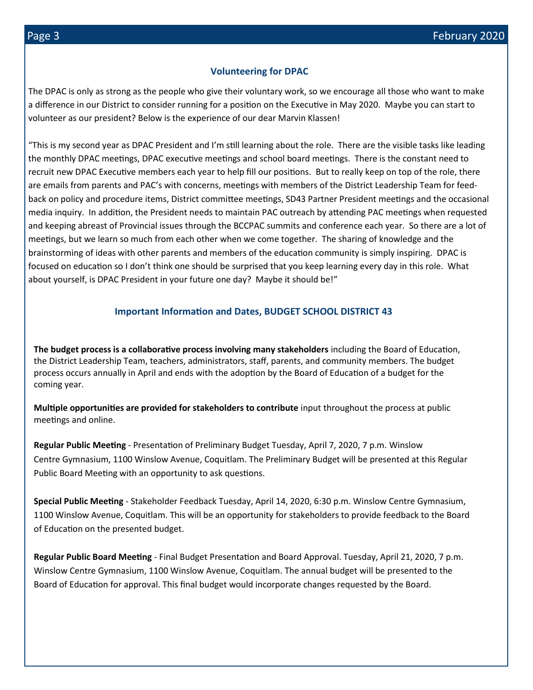#### **Volunteering for DPAC**

The DPAC is only as strong as the people who give their voluntary work, so we encourage all those who want to make a difference in our District to consider running for a position on the Executive in May 2020. Maybe you can start to volunteer as our president? Below is the experience of our dear Marvin Klassen!

"This is my second year as DPAC President and I'm still learning about the role. There are the visible tasks like leading the monthly DPAC meetings, DPAC executive meetings and school board meetings. There is the constant need to recruit new DPAC Executive members each year to help fill our positions. But to really keep on top of the role, there are emails from parents and PAC's with concerns, meetings with members of the District Leadership Team for feedback on policy and procedure items, District committee meetings, SD43 Partner President meetings and the occasional media inquiry. In addition, the President needs to maintain PAC outreach by attending PAC meetings when requested and keeping abreast of Provincial issues through the BCCPAC summits and conference each year. So there are a lot of meetings, but we learn so much from each other when we come together. The sharing of knowledge and the brainstorming of ideas with other parents and members of the education community is simply inspiring. DPAC is focused on education so I don't think one should be surprised that you keep learning every day in this role. What about yourself, is DPAC President in your future one day? Maybe it should be!"

#### **Important Information and Dates, BUDGET SCHOOL DISTRICT 43**

**The budget process is a collaborative process involving many stakeholders** including the Board of Education, the District Leadership Team, teachers, administrators, staff, parents, and community members. The budget process occurs annually in April and ends with the adoption by the Board of Education of a budget for the coming year.

**Multiple opportunities are provided for stakeholders to contribute** input throughout the process at public meetings and online.

**Regular Public Meeting** - Presentation of Preliminary Budget Tuesday, April 7, 2020, 7 p.m. Winslow Centre Gymnasium, 1100 Winslow Avenue, Coquitlam. The Preliminary Budget will be presented at this Regular Public Board Meeting with an opportunity to ask questions.

**Special Public Meeting** - Stakeholder Feedback Tuesday, April 14, 2020, 6:30 p.m. Winslow Centre Gymnasium, 1100 Winslow Avenue, Coquitlam. This will be an opportunity for stakeholders to provide feedback to the Board of Education on the presented budget.

**Regular Public Board Meeting** - Final Budget Presentation and Board Approval. Tuesday, April 21, 2020, 7 p.m. Winslow Centre Gymnasium, 1100 Winslow Avenue, Coquitlam. The annual budget will be presented to the Board of Education for approval. This final budget would incorporate changes requested by the Board.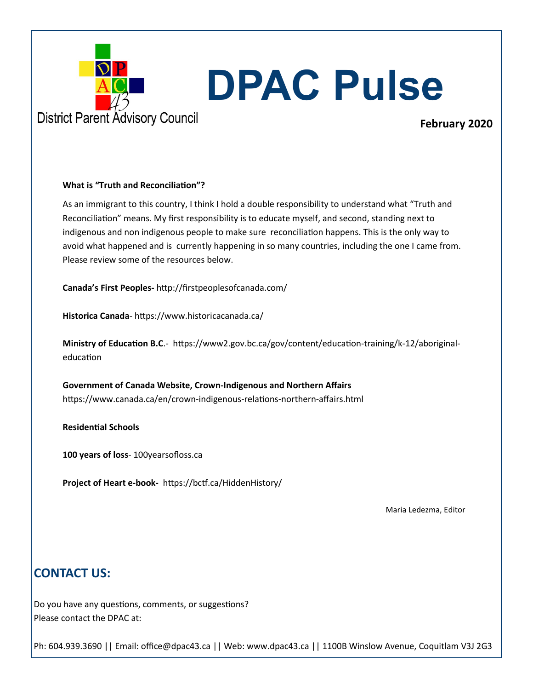

# **DPAC Pulse**

## **February 2020**

#### **What is "Truth and Reconciliation"?**

As an immigrant to this country, I think I hold a double responsibility to understand what "Truth and Reconciliation" means. My first responsibility is to educate myself, and second, standing next to indigenous and non indigenous people to make sure reconciliation happens. This is the only way to avoid what happened and is currently happening in so many countries, including the one I came from. Please review some of the resources below.

**Canada's First Peoples-** http://firstpeoplesofcanada.com/

**Historica Canada**- https://www.historicacanada.ca/

**Ministry of Education B.C**.- https://www2.gov.bc.ca/gov/content/education-training/k-12/aboriginaleducation

**Government of Canada Website, Crown-Indigenous and Northern Affairs** https://www.canada.ca/en/crown-indigenous-relations-northern-affairs.html

**Residential Schools**

**100 years of loss**- 100yearsofloss.ca

**Project of Heart e-book-** https://bctf.ca/HiddenHistory/

Maria Ledezma, Editor

## **CONTACT US:**

Do you have any questions, comments, or suggestions? Please contact the DPAC at:

Ph: 604.939.3690 || Email: office@dpac43.ca || Web: www.dpac43.ca || 1100B Winslow Avenue, Coquitlam V3J 2G3